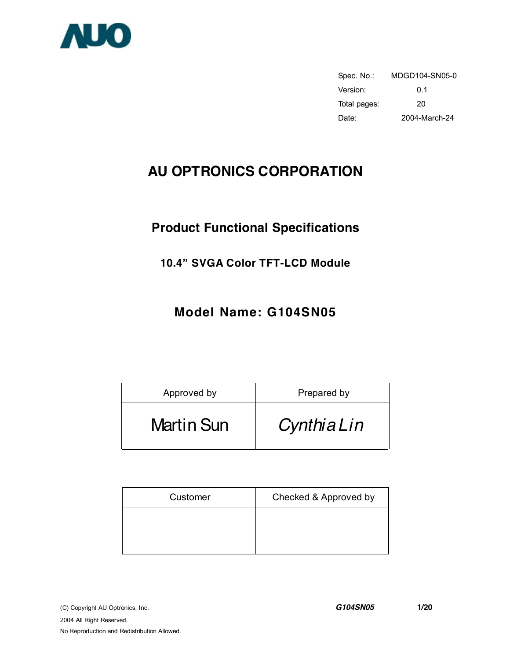

Spec. No.: MDGD104-SN05-0 Version: 0.1 Total pages: 20 Date: 2004-March-24

# **AU OPTRONICS CORPORATION**

# **Product Functional Specifications**

# **10.4" SVGA Color TFT-LCD Module**

# **Model Name: G104SN05**

| Approved by       | Prepared by |
|-------------------|-------------|
| <b>Martin Sun</b> | CynthiaLin  |

| Customer | Checked & Approved by |
|----------|-----------------------|
|          |                       |
|          |                       |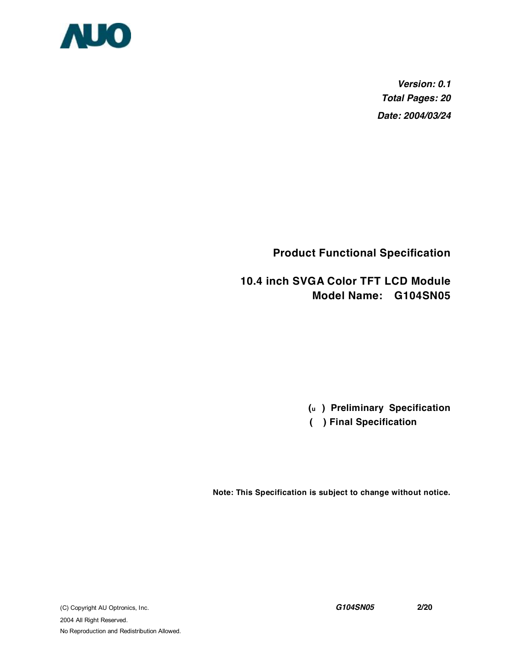

*Version: 0.1 Total Pages: 20 Date: 2004/03/24*

**Product Functional Specification** 

**10.4 inch SVGA Color TFT LCD Module Model Name: G104SN05** 

**(u ) Preliminary Specification**

 **( ) Final Specification**

**Note: This Specification is subject to change without notice.**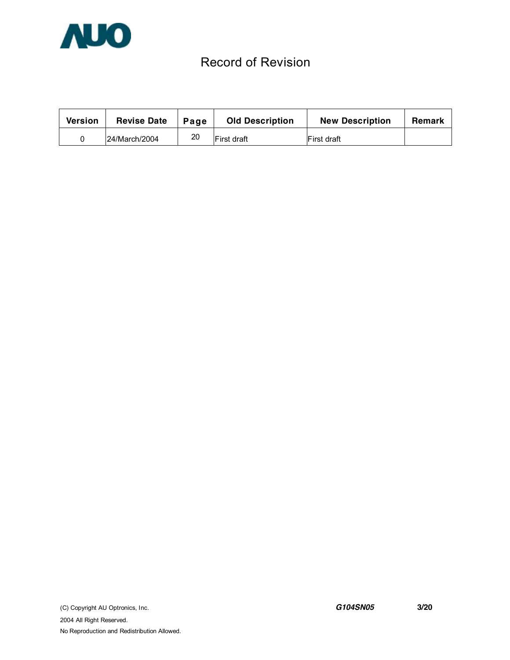

# Record of Revision

| Version | <b>Revise Date</b> | Page | <b>Old Description</b> | <b>New Description</b> | Remark |
|---------|--------------------|------|------------------------|------------------------|--------|
|         | 24/March/2004      | 20   | <b>First draft</b>     | First draft            |        |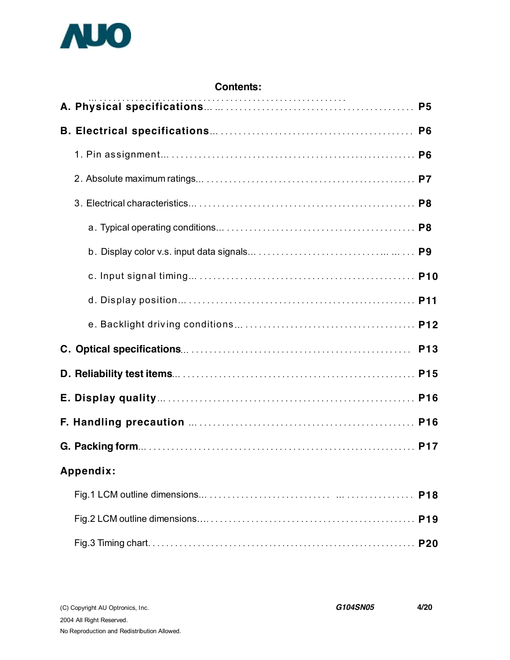

| <b>Contents:</b> |            |
|------------------|------------|
|                  |            |
|                  |            |
|                  |            |
|                  |            |
|                  |            |
|                  |            |
|                  |            |
|                  |            |
|                  |            |
|                  |            |
|                  | <b>P13</b> |
|                  |            |
|                  |            |
|                  |            |
|                  |            |
| Appendix:        |            |
|                  | <b>P18</b> |
|                  |            |
|                  |            |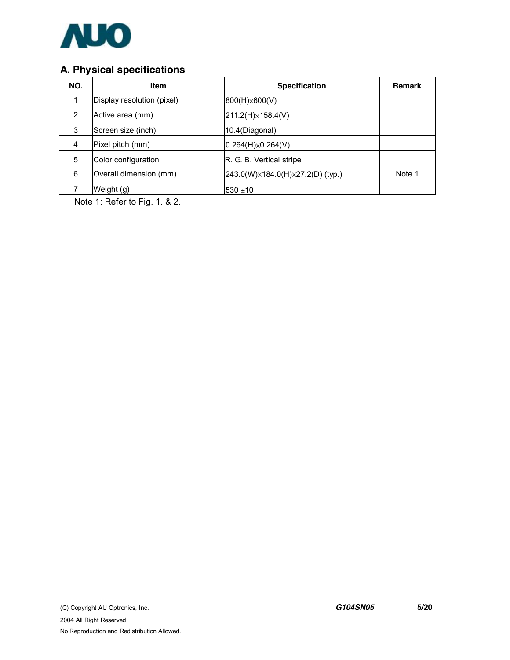

# **A. Physical specifications**

| NO.            | <b>Item</b>                | <b>Specification</b>             | Remark |
|----------------|----------------------------|----------------------------------|--------|
|                | Display resolution (pixel) | 800(H)×600(V)                    |        |
| $\overline{2}$ | Active area (mm)           | $ 211.2(H)\times 158.4(V) $      |        |
| 3              | Screen size (inch)         | 10.4(Diagonal)                   |        |
| 4              | Pixel pitch (mm)           | $ 0.264(H)\times 0.264(V) $      |        |
| 5              | Color configuration        | R. G. B. Vertical stripe         |        |
| 6              | Overall dimension (mm)     | 243.0(W)×184.0(H)×27.2(D) (typ.) | Note 1 |
|                | Weight (g)                 | 530 ±10                          |        |

Note 1: Refer to Fig. 1. & 2.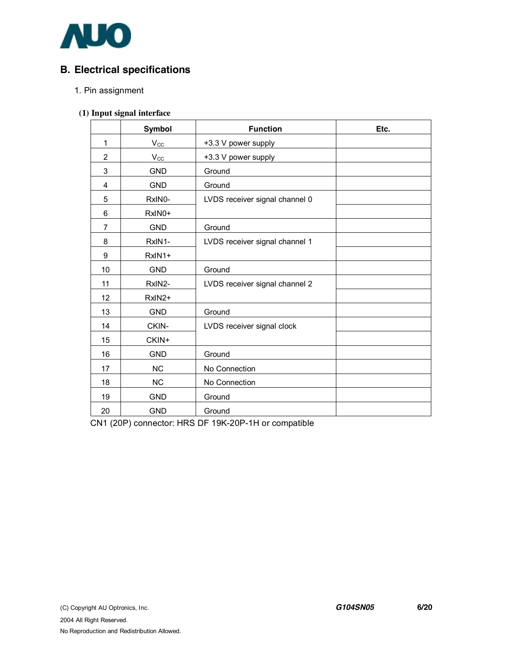

# **B. Electrical specifications**

#### 1. Pin assignment

#### **(1) Input signal interface**

|                | Symbol              | <b>Function</b>                | Etc. |
|----------------|---------------------|--------------------------------|------|
| 1              | $V_{CC}$            | +3.3 V power supply            |      |
| $\overline{2}$ | $V_{\rm CC}$        | +3.3 V power supply            |      |
| 3              | <b>GND</b>          | Ground                         |      |
| 4              | <b>GND</b>          | Ground                         |      |
| 5              | RxIN <sub>0</sub> - | LVDS receiver signal channel 0 |      |
| 6              | RxIN0+              |                                |      |
| $\overline{7}$ | <b>GND</b>          | Ground                         |      |
| 8              | RxIN1-              | LVDS receiver signal channel 1 |      |
| 9              | RxIN1+              |                                |      |
| 10             | <b>GND</b>          | Ground                         |      |
| 11             | RxIN2-              | LVDS receiver signal channel 2 |      |
| 12             | RxIN2+              |                                |      |
| 13             | <b>GND</b>          | Ground                         |      |
| 14             | CKIN-               | LVDS receiver signal clock     |      |
| 15             | CKIN+               |                                |      |
| 16             | <b>GND</b>          | Ground                         |      |
| 17             | <b>NC</b>           | No Connection                  |      |
| 18             | <b>NC</b>           | No Connection                  |      |
| 19             | <b>GND</b>          | Ground                         |      |
| 20             | <b>GND</b>          | Ground                         |      |

CN1 (20P) connector: HRS DF 19K-20P-1H or compatible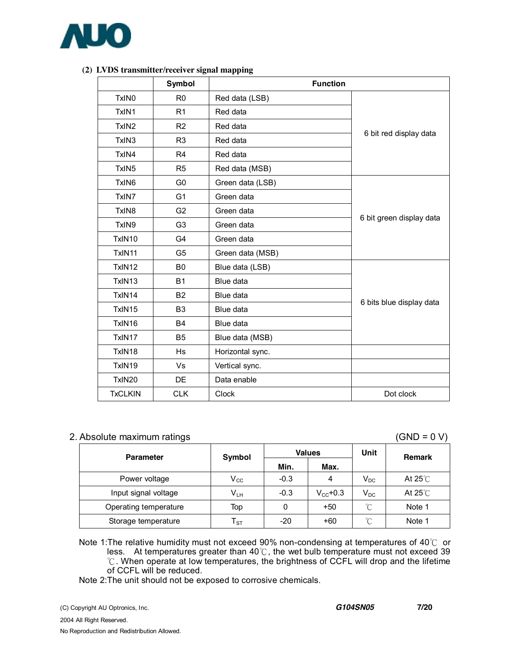

|                   | Symbol         | <b>Function</b>  |                          |  |  |
|-------------------|----------------|------------------|--------------------------|--|--|
| TxIN <sub>0</sub> | R <sub>0</sub> | Red data (LSB)   |                          |  |  |
| TxIN1             | R1             | Red data         |                          |  |  |
| TxIN <sub>2</sub> | R <sub>2</sub> | Red data         |                          |  |  |
| TxIN3             | R <sub>3</sub> | Red data         | 6 bit red display data   |  |  |
| TxIN4             | R <sub>4</sub> | Red data         |                          |  |  |
| TxIN <sub>5</sub> | R <sub>5</sub> | Red data (MSB)   |                          |  |  |
| TxIN <sub>6</sub> | G <sub>0</sub> | Green data (LSB) |                          |  |  |
| TxIN7             | G <sub>1</sub> | Green data       |                          |  |  |
| TxIN <sub>8</sub> | G <sub>2</sub> | Green data       |                          |  |  |
| TxIN9             | G <sub>3</sub> | Green data       | 6 bit green display data |  |  |
| TxIN10            | G4             | Green data       |                          |  |  |
| TxIN11            | G <sub>5</sub> | Green data (MSB) |                          |  |  |
| TxIN12            | B <sub>0</sub> | Blue data (LSB)  |                          |  |  |
| TxIN13            | <b>B1</b>      | Blue data        |                          |  |  |
| TxIN14            | B <sub>2</sub> | Blue data        |                          |  |  |
| TxIN15            | B <sub>3</sub> | Blue data        | 6 bits blue display data |  |  |
| TxIN16            | <b>B4</b>      | Blue data        |                          |  |  |
| TxIN17            | B <sub>5</sub> | Blue data (MSB)  |                          |  |  |
| TxIN18            | <b>Hs</b>      | Horizontal sync. |                          |  |  |
| TxIN19            | Vs             | Vertical sync.   |                          |  |  |
| TxIN20            | DE             | Data enable      |                          |  |  |
| <b>TxCLKIN</b>    | <b>CLK</b>     | Clock            | Dot clock                |  |  |

#### **(2) LVDS transmitter/receiver signal mapping**

#### 2. Absolute maximum ratings (GND = 0 V)

| <b>Parameter</b>      | Symbol                              |        | <b>Values</b>     | Unit     | <b>Remark</b>     |
|-----------------------|-------------------------------------|--------|-------------------|----------|-------------------|
|                       |                                     | Min.   | Max.              |          |                   |
| Power voltage         | $V_{\rm CC}$                        | $-0.3$ | 4                 | $V_{DC}$ | At 25 $\degree$ C |
| Input signal voltage  | $\mathsf{V}_{\mathsf{L}\mathsf{H}}$ | $-0.3$ | $V_{\rm CC}$ +0.3 | $V_{DC}$ | At 25 $\degree$ C |
| Operating temperature | Top                                 | 0      | $+50$             | °C       | Note 1            |
| Storage temperature   | ${\sf T}_{\texttt{ST}}$             | -20    | $+60$             | °C       | Note 1            |

Note 1:The relative humidity must not exceed 90% non-condensing at temperatures of 40℃ or less. At temperatures greater than 40℃, the wet bulb temperature must not exceed 39 ℃. When operate at low temperatures, the brightness of CCFL will drop and the lifetime of CCFL will be reduced.

Note 2:The unit should not be exposed to corrosive chemicals.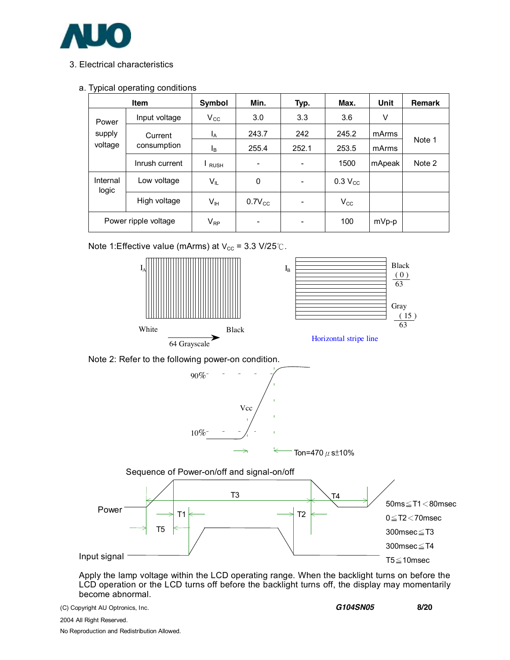

### 3. Electrical characteristics

#### a. Typical operating conditions

|                      | <b>Item</b>    | Symbol                     | Min.                     | Typ.  | Max.         | Unit   | <b>Remark</b> |
|----------------------|----------------|----------------------------|--------------------------|-------|--------------|--------|---------------|
| Power                | Input voltage  | $V_{\rm CC}$               | 3.0                      | 3.3   | 3.6          | V      |               |
| supply               | Current        | Ι <sub>Α</sub>             | 243.7                    | 242   | 245.2        | mArms  |               |
| voltage              | consumption    | l <sub>B</sub>             | 255.4                    | 252.1 | 253.5        | mArms  | Note 1        |
|                      | Inrush current | <b>RUSH</b>                | $\overline{\phantom{0}}$ | -     | 1500         | mApeak | Note 2        |
| Internal<br>logic    | Low voltage    | $V_{IL}$                   | 0                        | -     | $0.3 V_{CC}$ |        |               |
|                      | High voltage   | $V_{\mathbb{H}}$           | $0.7V_{CC}$              | -     | $V_{\rm CC}$ |        |               |
| Power ripple voltage |                | $\mathsf{V}_{\mathsf{RP}}$ |                          |       | 100          | mVp-p  |               |

Note 1:Effective value (mArms) at  $V_{\text{cc}}$  = 3.3 V/25℃.



Apply the lamp voltage within the LCD operating range. When the backlight turns on before the LCD operation or the LCD turns off before the backlight turns off, the display may momentarily become abnormal.

(C) Copyright AU Optronics, Inc. *G104SN05* **8/20**

2004 All Right Reserved. No Reproduction and Redistribution Allowed.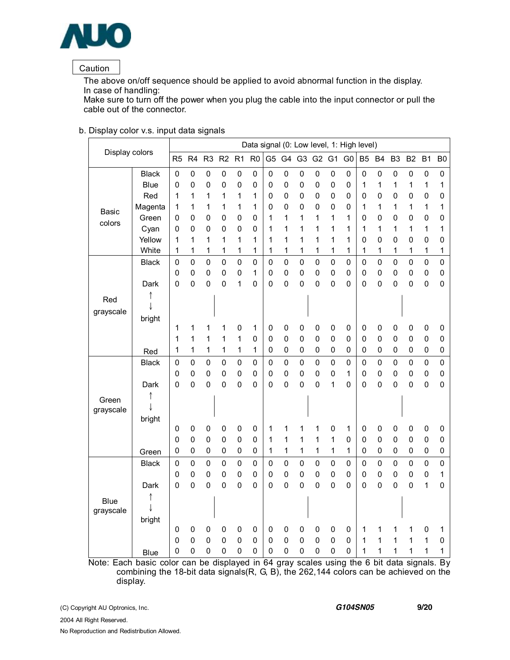

### Caution

The above on/off sequence should be applied to avoid abnormal function in the display. In case of handling:

Make sure to turn off the power when you plug the cable into the input connector or pull the cable out of the connector.

| Display colors |              |                |                |                |                          |                  |                 |                |             |             |                  |                  | Data signal (0: Low level, 1: High level) |                |                         |                |                |             |                |
|----------------|--------------|----------------|----------------|----------------|--------------------------|------------------|-----------------|----------------|-------------|-------------|------------------|------------------|-------------------------------------------|----------------|-------------------------|----------------|----------------|-------------|----------------|
|                |              | R <sub>5</sub> | R <sub>4</sub> | R <sub>3</sub> | R2                       | R1               | R <sub>0</sub>  | G <sub>5</sub> | G4          | G3          | G2 G1            |                  | G <sub>0</sub>                            | B <sub>5</sub> | <b>B4</b>               | B <sub>3</sub> | B <sub>2</sub> | <b>B1</b>   | B <sub>0</sub> |
|                | <b>Black</b> | $\mathbf 0$    | $\mathbf 0$    | $\pmb{0}$      | $\pmb{0}$                | 0                | 0               | 0              | $\pmb{0}$   | $\mathbf 0$ | 0                | $\pmb{0}$        | $\mathbf 0$                               | $\mathbf 0$    | $\pmb{0}$               | 0              | $\mathbf 0$    | $\mathbf 0$ | 0              |
|                | <b>Blue</b>  | 0              | 0              | 0              | $\mathbf 0$              | 0                | 0               | 0              | 0           | 0           | 0                | $\mathbf 0$      | $\mathbf 0$                               | 1              | 1                       | 1              | 1              | 1           | 1              |
|                | Red          | 1              | 1              | 1              | 1                        | 1                | 1               | 0              | 0           | $\mathbf 0$ | 0                | 0                | 0                                         | 0              | $\mathbf 0$             | 0              | 0              | $\mathbf 0$ | $\mathbf 0$    |
| Basic          | Magenta      | 1              | 1              | 1              | 1                        | 1                | 1               | 0              | 0           | $\mathbf 0$ | 0                | 0                | 0                                         | 1              | 1                       | 1              | 1              | 1           | $\mathbf 1$    |
| colors         | Green        | 0              | 0              | 0              | $\mathbf 0$              | $\mathbf 0$      | $\pmb{0}$       | 1              | 1           | 1           | 1                | 1                | 1                                         | 0              | $\mathbf 0$             | 0              | 0              | $\mathbf 0$ | $\mathbf 0$    |
|                | Cyan         | 0              | 0              | 0              | $\mathbf 0$              | 0                | $\pmb{0}$       | 1              | 1           | 1           | 1                | 1                | 1                                         | 1              | 1                       | 1              | 1              | 1           | 1              |
|                | Yellow       | 1              | 1              | 1              | 1                        | 1                | 1               | 1              | 1           | 1           | 1                | 1                | 1                                         | 0              | $\mathbf 0$             | 0              | 0              | $\mathbf 0$ | 0              |
|                | White        | 1              | 1              | 1              | 1                        | 1                | 1               | 1              | 1           | 1           | 1                | 1                | 1                                         | 1              | 1                       | 1              | 1              | 1           | 1              |
|                | <b>Black</b> | $\mathbf 0$    | $\mathbf 0$    | $\overline{0}$ | $\mathbf 0$              | $\mathbf 0$      | $\mathbf 0$     | $\mathbf 0$    | $\mathbf 0$ | $\mathbf 0$ | $\overline{0}$   | $\mathbf 0$      | $\mathbf 0$                               | $\mathbf 0$    | $\mathbf 0$             | $\overline{0}$ | $\mathbf 0$    | $\mathbf 0$ | $\mathbf 0$    |
|                |              | 0              | $\mathbf 0$    | 0              | $\mathbf 0$              | $\mathbf 0$      | 1               | $\pmb{0}$      | 0           | $\mathbf 0$ | 0                | $\pmb{0}$        | $\mathbf 0$                               | $\mathbf 0$    | $\mathbf 0$             | 0              | $\pmb{0}$      | $\pmb{0}$   | 0              |
|                | Dark         | 0              | 0              | 0              | $\mathbf 0$              | 1                | 0               | 0              | 0           | 0           | 0                | $\mathbf 0$      | 0                                         | 0              | 0                       | 0              | 0              | $\mathbf 0$ | $\pmb{0}$      |
| Red            |              |                |                |                |                          |                  |                 |                |             |             |                  |                  |                                           |                |                         |                |                |             |                |
| grayscale      |              |                |                |                |                          |                  |                 |                |             |             |                  |                  |                                           |                |                         |                |                |             |                |
|                | bright       |                |                |                |                          |                  |                 |                |             |             |                  |                  |                                           |                |                         |                |                |             |                |
|                |              | 1              | 1              | 1              | 1                        | 0                | 1               | 0              | 0           | 0           | 0                | $\mathbf 0$      | 0                                         | $\mathbf 0$    | 0                       | 0              | 0              | $\pmb{0}$   | $\mathbf 0$    |
|                |              | 1              | 1              | 1              | 1                        | 1                | 0               | $\mathbf 0$    | $\pmb{0}$   | $\mathbf 0$ | $\mathbf 0$      | $\mathbf 0$      | 0                                         | 0              | 0                       | 0              | $\mathbf 0$    | $\pmb{0}$   | $\pmb{0}$      |
|                | Red          | 1              | 1              | 1              | 1                        | 1                | 1               | 0              | 0           | 0           | 0                | $\mathbf 0$      | 0                                         | 0              | $\mathbf 0$             | 0              | 0              | 0           | $\pmb{0}$      |
|                | <b>Black</b> | $\mathbf 0$    | 0              | $\mathbf 0$    | $\mathbf 0$              | $\mathbf 0$      | 0               | 0              | $\mathbf 0$ | $\mathbf 0$ | 0                | $\mathbf 0$      | $\mathbf 0$                               | $\mathbf 0$    | $\mathbf 0$             | 0              | $\mathbf 0$    | $\mathbf 0$ | $\mathbf 0$    |
|                |              | 0              | $\mathbf 0$    | 0              | $\mathbf 0$              | 0                | 0               | 0              | $\pmb{0}$   | $\mathbf 0$ | $\mathbf 0$      | $\mathbf 0$      | 1                                         | 0              | $\mathbf 0$             | $\mathbf 0$    | $\mathbf 0$    | $\mathsf 0$ | $\pmb{0}$      |
|                | Dark         | 0              | 0              | 0              | $\mathbf 0$              | $\mathbf 0$      | 0               | $\mathbf 0$    | 0           | $\mathbf 0$ | 0                | 1                | 0                                         | 0              | 0                       | 0              | 0              | $\mathbf 0$ | 0              |
| Green          |              |                |                |                |                          |                  |                 |                |             |             |                  |                  |                                           |                |                         |                |                |             |                |
| grayscale      |              |                |                |                |                          |                  |                 |                |             |             |                  |                  |                                           |                |                         |                |                |             |                |
|                | bright       |                |                |                |                          |                  |                 |                |             |             |                  |                  |                                           |                |                         |                |                |             |                |
|                |              | 0              | $\mathbf 0$    | 0              | 0                        | 0                | 0               | 1              | 1           | 1           | 1                | $\mathbf 0$      | 1                                         | 0              | 0                       | 0              | $\mathbf 0$    | $\pmb{0}$   | 0              |
|                |              | 0              | $\mathbf 0$    | $\mathbf 0$    | $\mathbf 0$              | 0                | 0               | 1              | 1<br>1      | 1<br>1      | 1                | 1<br>$\mathbf 1$ | 0<br>$\mathbf 1$                          | 0<br>0         | 0                       | $\mathbf 0$    | $\mathbf 0$    | 0           | 0<br>$\pmb{0}$ |
|                | Green        | 0              | 0              | 0              | 0                        | 0                | 0               | 1              |             |             | 1                |                  |                                           |                | 0                       | 0              | 0              | 0           |                |
|                | <b>Black</b> | $\pmb{0}$      | 0              | $\mathsf 0$    | $\mathbf 0$              | 0                | $\pmb{0}$       | 0              | 0           | 0           | 0                | $\mathbf 0$      | $\mathsf 0$                               | 0              | 0                       | 0              | $\mathbf 0$    | $\pmb{0}$   | $\mathbf 0$    |
|                |              | $\mathbf 0$    | 0              | 0              | $\mathbf 0$              | 0                | $\pmb{0}$       | 0              | $\pmb{0}$   | $\pmb{0}$   | 0                | $\mathbf 0$      | 0                                         | 0              | $\mathbf 0$             | 0              | $\mathbf 0$    | $\pmb{0}$   | 1              |
|                | Dark         | $\mathbf 0$    | $\mathbf 0$    | 0              | $\mathbf 0$              | $\mathbf 0$      | $\mathbf 0$     | $\mathbf 0$    | $\mathbf 0$ | $\mathbf 0$ | 0                | $\mathbf 0$      | 0                                         | 0              | $\mathbf 0$             | 0              | 0              | 1           | $\mathbf 0$    |
| <b>Blue</b>    |              |                |                |                |                          |                  |                 |                |             |             |                  |                  |                                           |                |                         |                |                |             |                |
| grayscale      |              |                |                |                |                          |                  |                 |                |             |             |                  |                  |                                           |                |                         |                |                |             |                |
|                | bright       |                |                |                |                          |                  |                 |                |             |             |                  |                  |                                           |                |                         |                |                |             |                |
|                |              | 0              | $\mathbf 0$    | $\pmb{0}$      | $\pmb{0}$                | 0                | 0               | 0              | 0           | 0           | 0                | $\pmb{0}$        | 0                                         | 1              | 1                       | 1              | 1              | 0           | 1              |
|                |              | 0              | $\mathbf 0$    | 0              | $\mathbf 0$              | $\mathbf 0$<br>0 | 0               | 0              | 0           | $\mathbf 0$ | $\mathbf 0$<br>0 | $\mathbf 0$      | 0                                         | 1              | $\mathbf{1}$            | 1              | 1              | 1           | 0              |
| Nictor Foot be | <b>Blue</b>  | 0              | 0              | 0              | $\mathbf 0$<br>43<br>- 1 |                  | $\pmb{0}$<br>÷. | 0<br>$\sim$    | 0           | 0           |                  | $\mathbf 0$      | $\mathbf 0$<br>$\overline{1}$             | 1<br>⌒         | 1<br>$\mathbf{1}$<br>L. | 1              | 1              | 1           | 1<br>n.        |

#### b. Display color v.s. input data signals

Note: Each basic color can be displayed in 64 gray scales using the 6 bit data signals. By combining the 18-bit data signals(R, G, B), the 262,144 colors can be achieved on the display.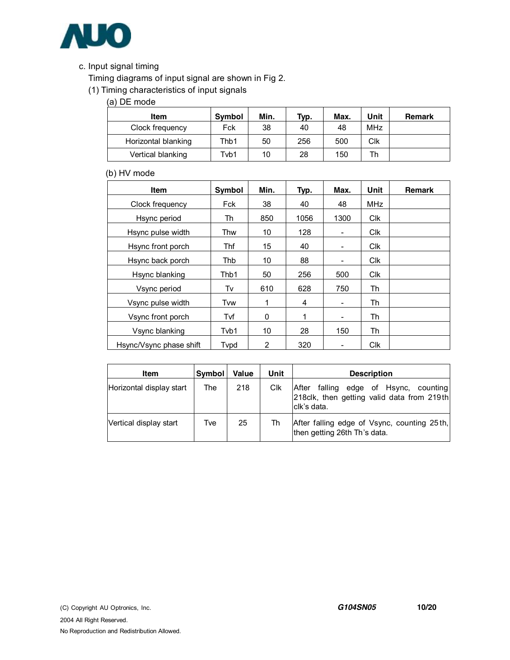

## c. Input signal timing

Timing diagrams of input signal are shown in Fig 2.

(1) Timing characteristics of input signals

(a) DE mode

| <b>Item</b>         | Symbol | Min. | Typ. | Max. | Unit       | Remark |
|---------------------|--------|------|------|------|------------|--------|
| Clock frequency     | Fck    | 38   | 40   | 48   | <b>MHz</b> |        |
| Horizontal blanking | Thb1   | 50   | 256  | 500  | Clk        |        |
| Vertical blanking   | Tvb1   | 10   | 28   | 150  | Th         |        |

### (b) HV mode

| <b>Item</b>             | <b>Symbol</b> | Min. | Typ. | Max. | Unit       | <b>Remark</b> |
|-------------------------|---------------|------|------|------|------------|---------------|
| Clock frequency         | Fck           | 38   | 40   | 48   | MHz        |               |
| Hsync period            | Th            | 850  | 1056 | 1300 | <b>CIK</b> |               |
| Hsync pulse width       | Thw           | 10   | 128  | ۰    | <b>CIK</b> |               |
| Hsync front porch       | Thf           | 15   | 40   | ۰    | <b>CIK</b> |               |
| Hsync back porch        | Thb           | 10   | 88   | ۰    | <b>Clk</b> |               |
| Hsync blanking          | Thb1          | 50   | 256  | 500  | <b>CIK</b> |               |
| Vsync period            | Tv            | 610  | 628  | 750  | Th         |               |
| Vsync pulse width       | Tvw           | 1    | 4    | ۰    | Th         |               |
| Vsync front porch       | Tvf           | 0    | 1    | ۰    | Th         |               |
| Vsync blanking          | Tvb1          | 10   | 28   | 150  | Th         |               |
| Hsync/Vsync phase shift | Tvpd          | 2    | 320  |      | <b>Clk</b> |               |

| Item                     | Symbol | Value | Unit | <b>Description</b>                                                                                     |  |  |  |
|--------------------------|--------|-------|------|--------------------------------------------------------------------------------------------------------|--|--|--|
| Horizontal display start | The    | 218   | Clk  | falling edge of Hsync, counting<br>After<br>218clk, then getting valid data from 219th<br>Iclk's data. |  |  |  |
| Vertical display start   | Tve    | 25    | Th   | After falling edge of Vsync, counting 25th,<br>then getting 26th Th's data.                            |  |  |  |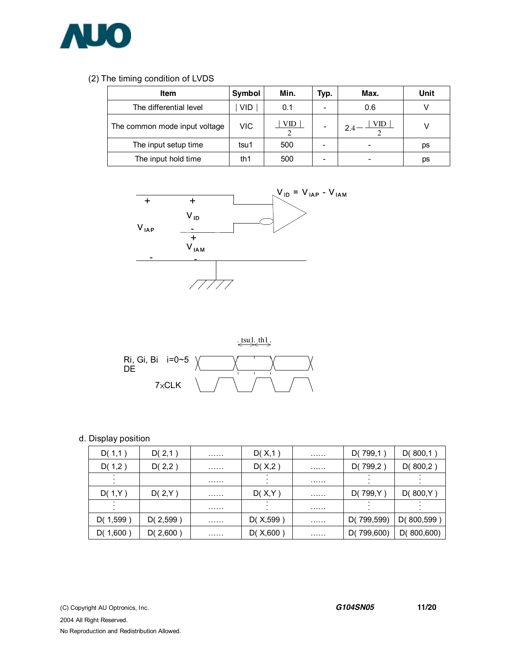

### (2) The timing condition of LVDS

| <b>Item</b>                   | Symbol     | Min. | Typ.                     | Max. | Unit |
|-------------------------------|------------|------|--------------------------|------|------|
| The differential level        | <b>VID</b> | 0.1  | $\overline{\phantom{0}}$ | 0.6  |      |
| The common mode input voltage | VIC        | VID  | $\overline{\phantom{0}}$ | VID  |      |
| The input setup time          | tsu1       | 500  |                          |      | ps   |
| The input hold time           | th1        | 500  | -                        |      | рs   |





#### d. Display position

| D(1,1)       | D(2,1)   | . | D(X,1)    | . | D(799,1)   | D(800,1)    |
|--------------|----------|---|-----------|---|------------|-------------|
| D(1,2)       | D(2,2)   | . | D(X,2)    | . | D(799,2)   | D(800,2)    |
|              |          | . |           | . |            |             |
| D(1,Y)       | D(2,Y)   | . | D(X,Y)    | . | D(799,Y)   | D(800,Y)    |
|              |          | . |           | . |            |             |
| D(1,599)     | D(2,599) | . | D(X, 599) | . | D(799,599) | D(800, 599) |
| D( $1,600$ ) | D(2,600) | . | D(X, 600) | . | D(799,600) | D(800,600)  |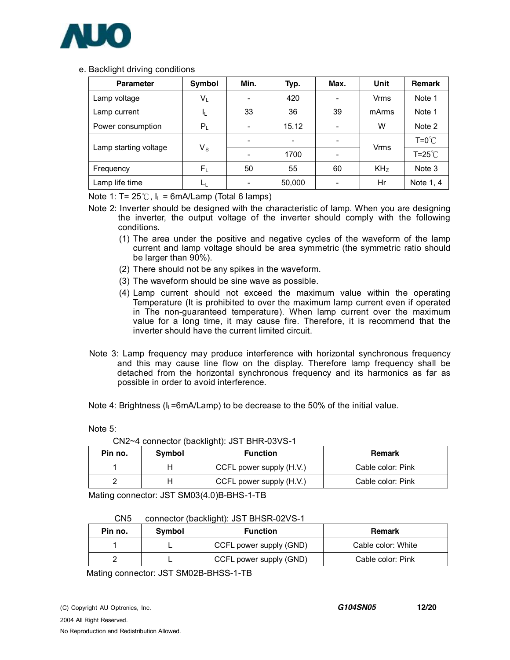

#### e. Backlight driving conditions

| <b>Parameter</b>      | Symbol                  | Min. | Typ.   | Max.                         | Unit            | <b>Remark</b>    |
|-----------------------|-------------------------|------|--------|------------------------------|-----------------|------------------|
| Lamp voltage          | $V_L$                   |      | 420    |                              | Vrms            | Note 1           |
| Lamp current          | IL.                     | 33   | 36     | 39                           | mArms           | Note 1           |
| Power consumption     | $P_L$                   |      | 15.12  | $\qquad \qquad \blacksquare$ | W               | Note 2           |
| Lamp starting voltage | $\mathsf{V}_\mathsf{S}$ | -    | -      | -                            |                 | $T = 0^{\circ}C$ |
|                       |                         |      | 1700   | $\overline{\phantom{0}}$     | <b>Vrms</b>     | $T = 25^{\circ}$ |
| Frequency             | $F_{L}$                 | 50   | 55     | 60                           | KH <sub>z</sub> | Note 3           |
| Lamp life time        | ட                       |      | 50,000 | -                            | Hr              | Note 1, 4        |

Note 1: T=  $25^{\circ}$ C, I<sub>L</sub> = 6mA/Lamp (Total 6 lamps)

- Note 2: Inverter should be designed with the characteristic of lamp. When you are designing the inverter, the output voltage of the inverter should comply with the following conditions.
	- (1) The area under the positive and negative cycles of the waveform of the lamp current and lamp voltage should be area symmetric (the symmetric ratio should be larger than 90%).
	- (2) There should not be any spikes in the waveform.
	- (3) The waveform should be sine wave as possible.
	- (4) Lamp current should not exceed the maximum value within the operating Temperature (It is prohibited to over the maximum lamp current even if operated in The non-guaranteed temperature). When lamp current over the maximum value for a long time, it may cause fire. Therefore, it is recommend that the inverter should have the current limited circuit.
- Note 3: Lamp frequency may produce interference with horizontal synchronous frequency and this may cause line flow on the display. Therefore lamp frequency shall be detached from the horizontal synchronous frequency and its harmonics as far as possible in order to avoid interference.

Note 4: Brightness ( $I_L$ =6mA/Lamp) to be decrease to the 50% of the initial value.

Note 5:

| Pin no. | Symbol | <b>Function</b>          | Remark            |
|---------|--------|--------------------------|-------------------|
|         |        | CCFL power supply (H.V.) | Cable color: Pink |
|         |        | CCFL power supply (H.V.) | Cable color: Pink |
|         |        |                          |                   |

CN2~4 connector (backlight): JST BHR-03VS-1

Mating connector: JST SM03(4.0)B-BHS-1-TB

#### CN5 connector (backlight): JST BHSR-02VS-1

| Pin no. | Symbol | <b>Function</b>         | <b>Remark</b>      |
|---------|--------|-------------------------|--------------------|
|         |        | CCFL power supply (GND) | Cable color: White |
|         |        | CCFL power supply (GND) | Cable color: Pink  |

Mating connector: JST SM02B-BHSS-1-TB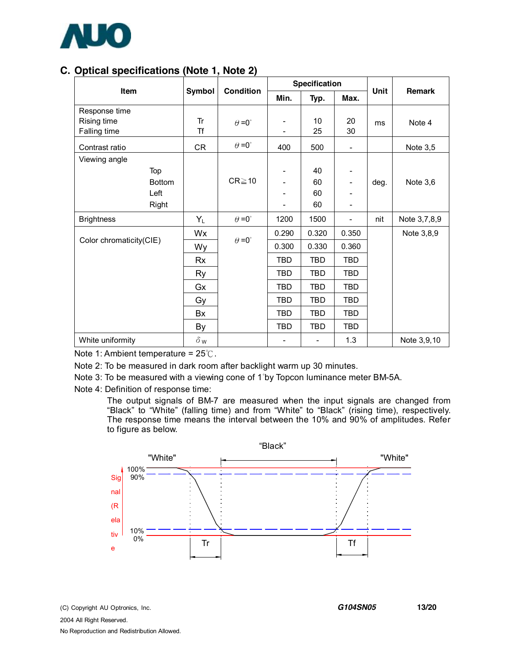

# **C. Optical specifications (Note 1, Note 2)**

| Item                    | Symbol     | <b>Condition</b>     | <b>Specification</b> |                          |                          | Unit | <b>Remark</b> |
|-------------------------|------------|----------------------|----------------------|--------------------------|--------------------------|------|---------------|
|                         |            |                      | Min.                 | Typ.                     | Max.                     |      |               |
| Response time           |            |                      |                      |                          |                          |      |               |
| Rising time             | Tr         | $\theta = 0^{\circ}$ |                      | 10                       | 20                       | ms   | Note 4        |
| Falling time            | <b>Tf</b>  |                      |                      | 25                       | 30                       |      |               |
| Contrast ratio          | CR         | $\theta = 0^{\circ}$ | 400                  | 500                      | $\overline{\phantom{a}}$ |      | Note 3,5      |
| Viewing angle           |            |                      |                      |                          |                          |      |               |
| Top                     |            |                      |                      | 40                       |                          |      |               |
| <b>Bottom</b>           |            | $CR \ge 10$          |                      | 60                       | -                        | deg. | Note $3,6$    |
| Left                    |            |                      |                      | 60                       |                          |      |               |
| Right                   |            |                      |                      | 60                       | -                        |      |               |
| <b>Brightness</b>       | $Y_L$      | $\theta = 0^{\circ}$ | 1200                 | 1500                     | $\overline{\phantom{0}}$ | nit  | Note 3,7,8,9  |
|                         | Wx         |                      | 0.290                | 0.320                    | 0.350                    |      | Note 3,8,9    |
| Color chromaticity(CIE) | Wy         | $\theta = 0^{\circ}$ | 0.300                | 0.330                    | 0.360                    |      |               |
|                         | Rx         |                      | TBD                  | TBD                      | TBD                      |      |               |
|                         | Ry         |                      | <b>TBD</b>           | TBD                      | TBD                      |      |               |
|                         | Gx         |                      | <b>TBD</b>           | <b>TBD</b>               | <b>TBD</b>               |      |               |
|                         | Gy         |                      | <b>TBD</b>           | <b>TBD</b>               | TBD                      |      |               |
|                         | Bx         |                      | <b>TBD</b>           | TBD                      | TBD                      |      |               |
|                         | By         |                      | <b>TBD</b>           | TBD                      | TBD                      |      |               |
| White uniformity        | $\delta$ w |                      |                      | $\overline{\phantom{a}}$ | 1.3                      |      | Note 3,9,10   |

Note 1: Ambient temperature = 25℃.

Note 2: To be measured in dark room after backlight warm up 30 minutes.

Note 3: To be measured with a viewing cone of 1°by Topcon luminance meter BM-5A.

Note 4: Definition of response time:

The output signals of BM-7 are measured when the input signals are changed from "Black" to "White" (falling time) and from "White" to "Black" (rising time), respectively. The response time means the interval between the 10% and 90% of amplitudes. Refer to figure as below.

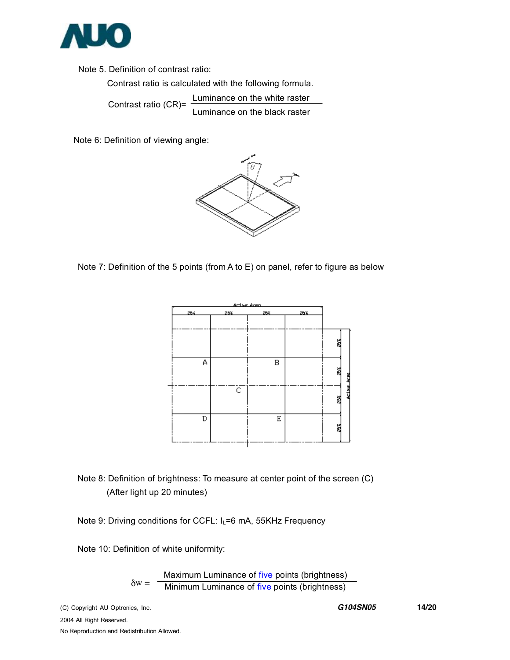

 Note 5. Definition of contrast ratio: Contrast ratio is calculated with the following formula. Contrast ratio (CR)= Luminance on the white raster Luminance on the black raster

Note 6: Definition of viewing angle:



Note 7: Definition of the 5 points (from A to E) on panel, refer to figure as below



# Note 8: Definition of brightness: To measure at center point of the screen (C) (After light up 20 minutes)

Note 9: Driving conditions for CCFL: I<sub>L</sub>=6 mA, 55KHz Frequency

Note 10: Definition of white uniformity:

 $\delta w =$ Maximum Luminance of five points (brightness) Minimum Luminance of five points (brightness)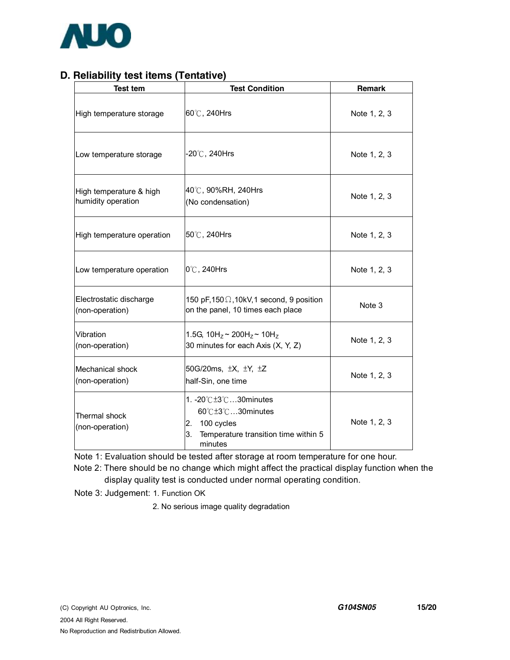

# **D. Reliability test items (Tentative)**

| Test tem                                      | <b>Test Condition</b>                                                                                               |              |
|-----------------------------------------------|---------------------------------------------------------------------------------------------------------------------|--------------|
| High temperature storage                      | 60°C, 240Hrs                                                                                                        | Note 1, 2, 3 |
| Low temperature storage                       | $-20^{\circ}$ C, 240Hrs                                                                                             | Note 1, 2, 3 |
| High temperature & high<br>humidity operation | 40℃, 90%RH, 240Hrs<br>(No condensation)                                                                             | Note 1, 2, 3 |
| High temperature operation                    | 50℃, 240Hrs                                                                                                         | Note 1, 2, 3 |
| Low temperature operation                     | 0°C, 240Hrs                                                                                                         | Note 1, 2, 3 |
| Electrostatic discharge<br>(non-operation)    | 150 pF, 150 $\Omega$ , 10kV, 1 second, 9 position<br>on the panel, 10 times each place                              | Note 3       |
| Vibration<br>(non-operation)                  | 1.5G, $10H_z \sim 200H_z \sim 10H_z$<br>30 minutes for each Axis (X, Y, Z)                                          | Note 1, 2, 3 |
| Mechanical shock<br>(non-operation)           | 50G/20ms, ±X, ±Y, ±Z<br>half-Sin, one time                                                                          | Note 1, 2, 3 |
| Thermal shock<br>(non-operation)              | 1. -20℃±3℃30minutes<br>60℃±3℃30minutes<br>100 cycles<br>2.<br>3.<br>Temperature transition time within 5<br>minutes | Note 1, 2, 3 |

Note 1: Evaluation should be tested after storage at room temperature for one hour.

 Note 2: There should be no change which might affect the practical display function when the display quality test is conducted under normal operating condition.

Note 3: Judgement: 1. Function OK

2. No serious image quality degradation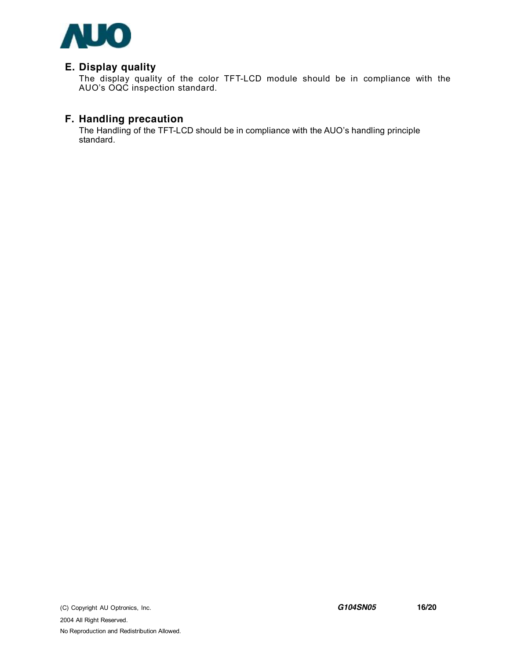

## **E. Display quality**

The display quality of the color TFT-LCD module should be in compliance with the AUO's OQC inspection standard.

## **F. Handling precaution**

The Handling of the TFT-LCD should be in compliance with the AUO's handling principle standard.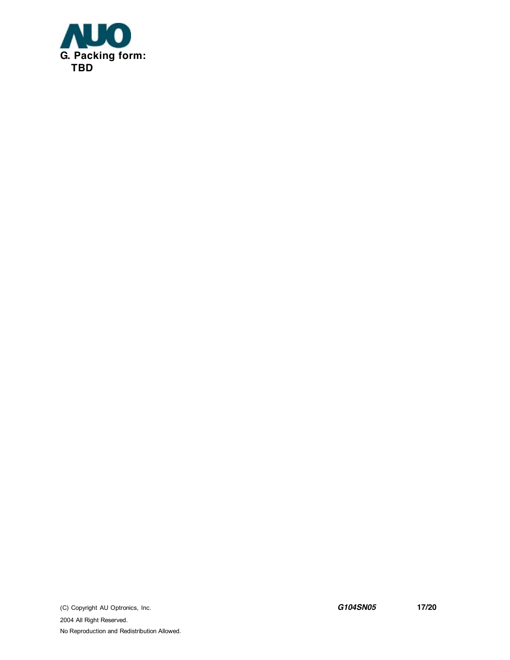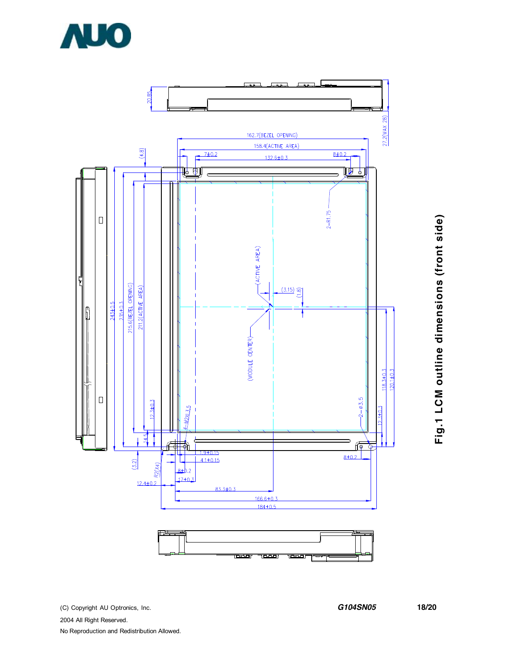

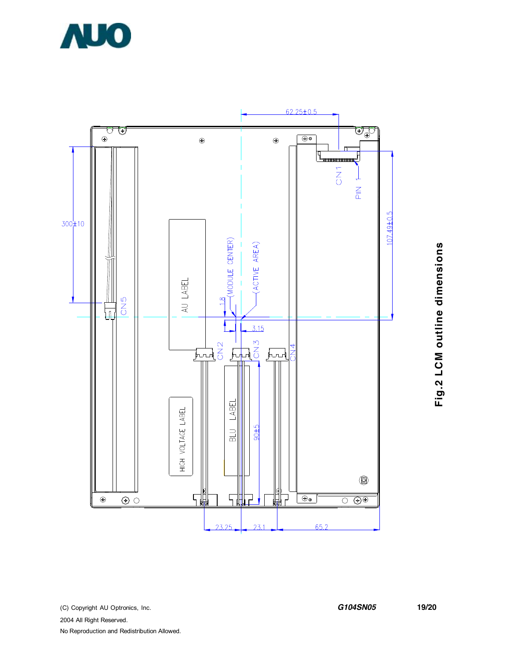



**Fig.2 L C** <u>Σ</u> **o utlin e dim e n sio n s**